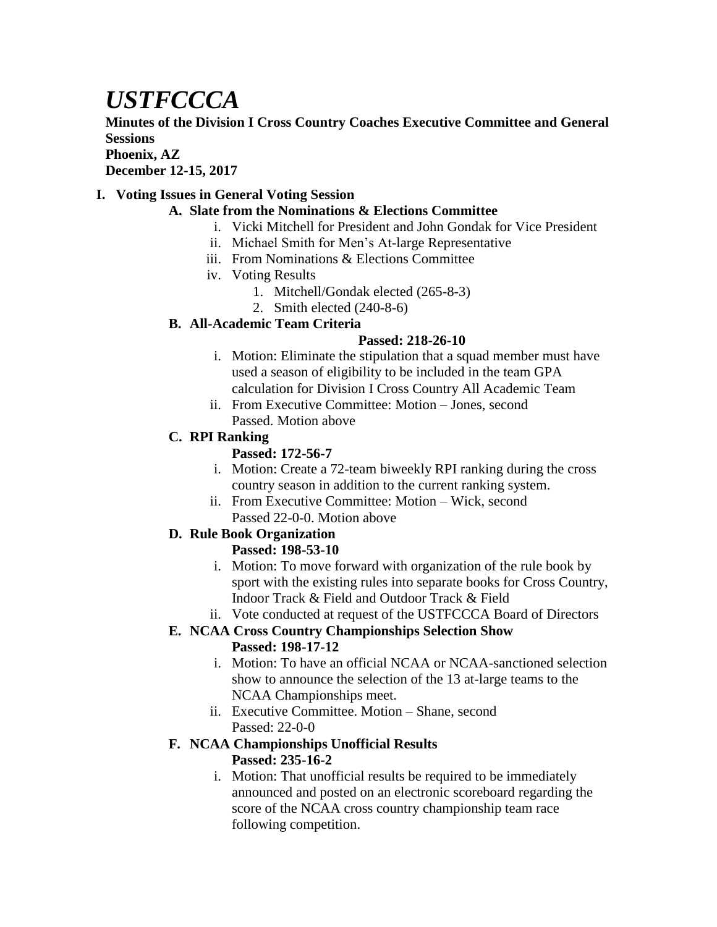# *USTFCCCA*

**Minutes of the Division I Cross Country Coaches Executive Committee and General Sessions**

**Phoenix, AZ**

**December 12-15, 2017**

### **I. Voting Issues in General Voting Session**

- **A. Slate from the Nominations & Elections Committee**
	- i. Vicki Mitchell for President and John Gondak for Vice President
	- ii. Michael Smith for Men's At-large Representative
	- iii. From Nominations & Elections Committee
	- iv. Voting Results
		- 1. Mitchell/Gondak elected (265-8-3)
		- 2. Smith elected (240-8-6)

### **B. All-Academic Team Criteria**

### **Passed: 218-26-10**

- i. Motion: Eliminate the stipulation that a squad member must have used a season of eligibility to be included in the team GPA calculation for Division I Cross Country All Academic Team
- ii. From Executive Committee: Motion Jones, second Passed. Motion above

### **C. RPI Ranking**

### **Passed: 172-56-7**

- i. Motion: Create a 72-team biweekly RPI ranking during the cross country season in addition to the current ranking system.
- ii. From Executive Committee: Motion Wick, second Passed 22-0-0. Motion above

### **D. Rule Book Organization**

### **Passed: 198-53-10**

- i. Motion: To move forward with organization of the rule book by sport with the existing rules into separate books for Cross Country, Indoor Track & Field and Outdoor Track & Field
- ii. Vote conducted at request of the USTFCCCA Board of Directors

### **E. NCAA Cross Country Championships Selection Show Passed: 198-17-12**

- i. Motion: To have an official NCAA or NCAA-sanctioned selection show to announce the selection of the 13 at-large teams to the NCAA Championships meet.
- ii. Executive Committee. Motion Shane, second Passed: 22-0-0

### **F. NCAA Championships Unofficial Results Passed: 235-16-2**

i. Motion: That unofficial results be required to be immediately announced and posted on an electronic scoreboard regarding the score of the NCAA cross country championship team race following competition.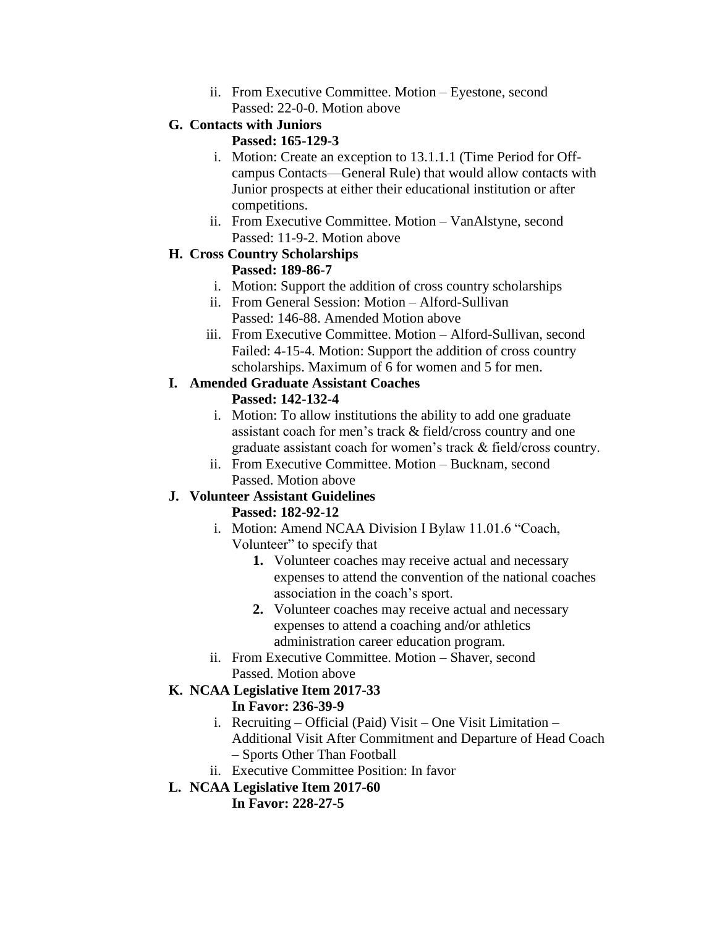ii. From Executive Committee. Motion – Eyestone, second Passed: 22-0-0. Motion above

# **G. Contacts with Juniors**

### **Passed: 165-129-3**

- i. Motion: Create an exception to 13.1.1.1 (Time Period for Offcampus Contacts—General Rule) that would allow contacts with Junior prospects at either their educational institution or after competitions.
- ii. From Executive Committee. Motion VanAlstyne, second Passed: 11-9-2. Motion above

#### **H. Cross Country Scholarships Passed: 189-86-7**

- i. Motion: Support the addition of cross country scholarships
- ii. From General Session: Motion Alford-Sullivan Passed: 146-88. Amended Motion above
- iii. From Executive Committee. Motion Alford-Sullivan, second Failed: 4-15-4. Motion: Support the addition of cross country scholarships. Maximum of 6 for women and 5 for men.

### **I. Amended Graduate Assistant Coaches**

# **Passed: 142-132-4**

- i. Motion: To allow institutions the ability to add one graduate assistant coach for men's track & field/cross country and one graduate assistant coach for women's track & field/cross country.
- ii. From Executive Committee. Motion Bucknam, second Passed. Motion above

# **J. Volunteer Assistant Guidelines**

# **Passed: 182-92-12**

- i. Motion: Amend NCAA Division I Bylaw 11.01.6 "Coach, Volunteer" to specify that
	- **1.** Volunteer coaches may receive actual and necessary expenses to attend the convention of the national coaches association in the coach's sport.
	- **2.** Volunteer coaches may receive actual and necessary expenses to attend a coaching and/or athletics administration career education program.
- ii. From Executive Committee. Motion Shaver, second Passed. Motion above

#### **K. NCAA Legislative Item 2017-33 In Favor: 236-39-9**

- i. Recruiting Official (Paid) Visit One Visit Limitation Additional Visit After Commitment and Departure of Head Coach – Sports Other Than Football
- ii. Executive Committee Position: In favor
- **L. NCAA Legislative Item 2017-60**

**In Favor: 228-27-5**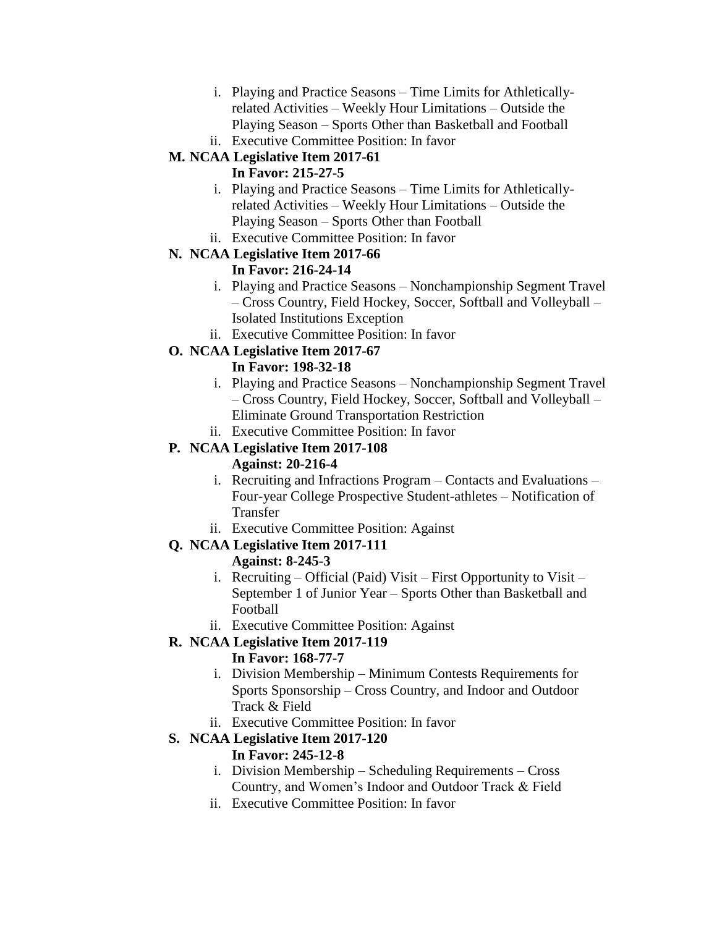- i. Playing and Practice Seasons Time Limits for Athleticallyrelated Activities – Weekly Hour Limitations – Outside the Playing Season – Sports Other than Basketball and Football
- ii. Executive Committee Position: In favor

# **M. NCAA Legislative Item 2017-61**

### **In Favor: 215-27-5**

- i. Playing and Practice Seasons Time Limits for Athleticallyrelated Activities – Weekly Hour Limitations – Outside the Playing Season – Sports Other than Football
- ii. Executive Committee Position: In favor

# **N. NCAA Legislative Item 2017-66**

### **In Favor: 216-24-14**

- i. Playing and Practice Seasons Nonchampionship Segment Travel – Cross Country, Field Hockey, Soccer, Softball and Volleyball – Isolated Institutions Exception
- ii. Executive Committee Position: In favor

### **O. NCAA Legislative Item 2017-67**

### **In Favor: 198-32-18**

- i. Playing and Practice Seasons Nonchampionship Segment Travel – Cross Country, Field Hockey, Soccer, Softball and Volleyball – Eliminate Ground Transportation Restriction
- ii. Executive Committee Position: In favor

# **P. NCAA Legislative Item 2017-108**

### **Against: 20-216-4**

- i. Recruiting and Infractions Program Contacts and Evaluations Four-year College Prospective Student-athletes – Notification of Transfer
- ii. Executive Committee Position: Against

# **Q. NCAA Legislative Item 2017-111**

### **Against: 8-245-3**

- i. Recruiting Official (Paid) Visit First Opportunity to Visit September 1 of Junior Year – Sports Other than Basketball and Football
- ii. Executive Committee Position: Against

# **R. NCAA Legislative Item 2017-119**

### **In Favor: 168-77-7**

- i. Division Membership Minimum Contests Requirements for Sports Sponsorship – Cross Country, and Indoor and Outdoor Track & Field
- ii. Executive Committee Position: In favor

# **S. NCAA Legislative Item 2017-120**

### **In Favor: 245-12-8**

- i. Division Membership Scheduling Requirements Cross Country, and Women's Indoor and Outdoor Track & Field
- ii. Executive Committee Position: In favor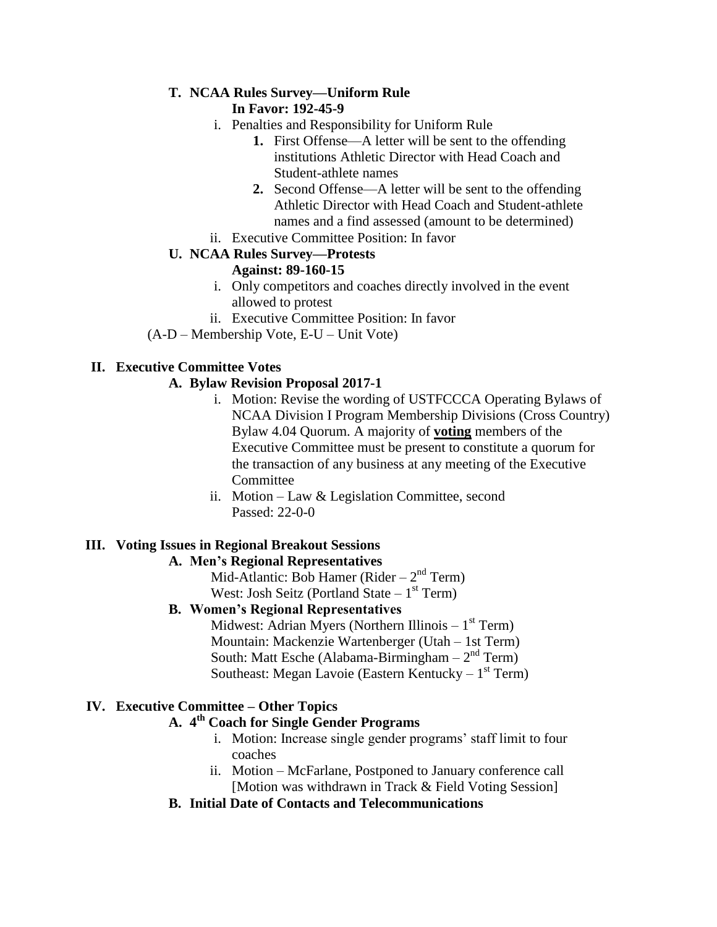### **T. NCAA Rules Survey—Uniform Rule**

### **In Favor: 192-45-9**

- i. Penalties and Responsibility for Uniform Rule
	- **1.** First Offense—A letter will be sent to the offending institutions Athletic Director with Head Coach and Student-athlete names
	- **2.** Second Offense—A letter will be sent to the offending Athletic Director with Head Coach and Student-athlete names and a find assessed (amount to be determined)
- ii. Executive Committee Position: In favor

### **U. NCAA Rules Survey—Protests**

### **Against: 89-160-15**

- i. Only competitors and coaches directly involved in the event allowed to protest
- ii. Executive Committee Position: In favor
- (A-D Membership Vote, E-U Unit Vote)

### **II. Executive Committee Votes**

### **A. Bylaw Revision Proposal 2017-1**

- i. Motion: Revise the wording of USTFCCCA Operating Bylaws of NCAA Division I Program Membership Divisions (Cross Country) Bylaw 4.04 Quorum. A majority of **voting** members of the Executive Committee must be present to constitute a quorum for the transaction of any business at any meeting of the Executive **Committee**
- ii. Motion Law & Legislation Committee, second Passed: 22-0-0

### **III. Voting Issues in Regional Breakout Sessions**

### **A. Men's Regional Representatives**

Mid-Atlantic: Bob Hamer (Rider  $-2<sup>nd</sup>$  Term) West: Josh Seitz (Portland State – 1<sup>st</sup> Term)

### **B. Women's Regional Representatives**

Midwest: Adrian Myers (Northern Illinois  $-1<sup>st</sup>$  Term) Mountain: Mackenzie Wartenberger (Utah – 1st Term) South: Matt Esche (Alabama-Birmingham  $-2<sup>nd</sup>$  Term) Southeast: Megan Lavoie (Eastern Kentucky – 1<sup>st</sup> Term)

### **IV. Executive Committee – Other Topics**

# **A. 4 th Coach for Single Gender Programs**

- i. Motion: Increase single gender programs' staff limit to four coaches
- ii. Motion McFarlane, Postponed to January conference call [Motion was withdrawn in Track & Field Voting Session]
- **B. Initial Date of Contacts and Telecommunications**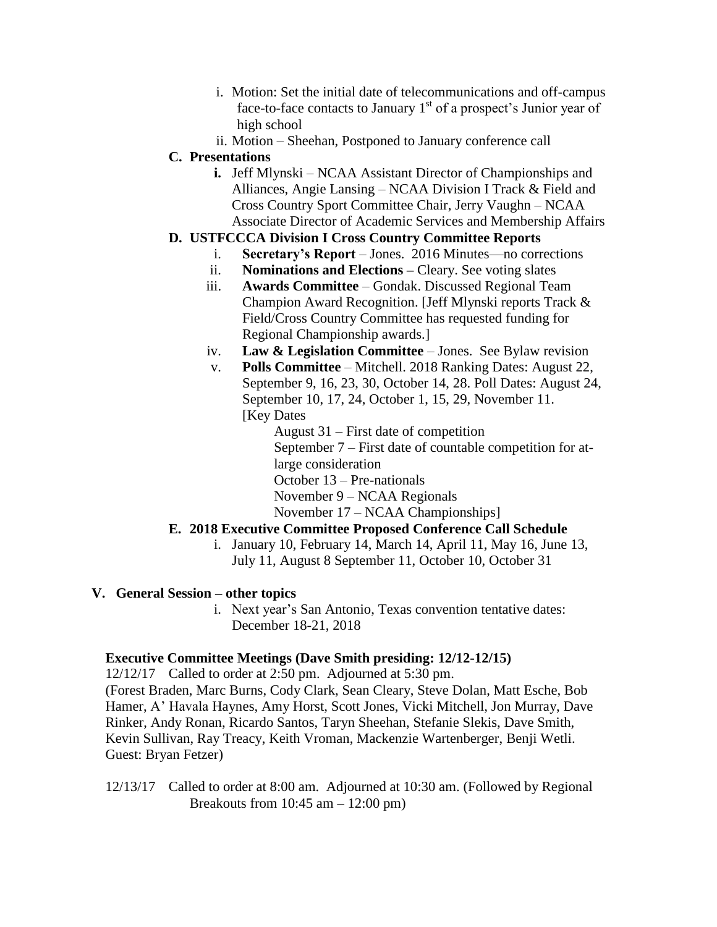- i. Motion: Set the initial date of telecommunications and off-campus face-to-face contacts to January  $1<sup>st</sup>$  of a prospect's Junior year of high school
- ii. Motion Sheehan, Postponed to January conference call

### **C. Presentations**

**i.** Jeff Mlynski – NCAA Assistant Director of Championships and Alliances, Angie Lansing – NCAA Division I Track & Field and Cross Country Sport Committee Chair, Jerry Vaughn – NCAA Associate Director of Academic Services and Membership Affairs

### **D. USTFCCCA Division I Cross Country Committee Reports**

- i. **Secretary's Report** Jones. 2016 Minutes—no corrections
- ii. **Nominations and Elections –** Cleary. See voting slates
- iii. **Awards Committee** Gondak. Discussed Regional Team Champion Award Recognition. [Jeff Mlynski reports Track & Field/Cross Country Committee has requested funding for Regional Championship awards.]
- iv. **Law & Legislation Committee**  Jones. See Bylaw revision
- v. **Polls Committee** Mitchell. 2018 Ranking Dates: August 22, September 9, 16, 23, 30, October 14, 28. Poll Dates: August 24, September 10, 17, 24, October 1, 15, 29, November 11. [Key Dates]

August 31 – First date of competition September 7 – First date of countable competition for atlarge consideration October 13 – Pre-nationals November 9 – NCAA Regionals November 17 – NCAA Championships]

# **E. 2018 Executive Committee Proposed Conference Call Schedule**

i. January 10, February 14, March 14, April 11, May 16, June 13, July 11, August 8 September 11, October 10, October 31

### **V. General Session – other topics**

i. Next year's San Antonio, Texas convention tentative dates: December 18-21, 2018

### **Executive Committee Meetings (Dave Smith presiding: 12/12-12/15)**

12/12/17 Called to order at 2:50 pm. Adjourned at 5:30 pm.

(Forest Braden, Marc Burns, Cody Clark, Sean Cleary, Steve Dolan, Matt Esche, Bob Hamer, A' Havala Haynes, Amy Horst, Scott Jones, Vicki Mitchell, Jon Murray, Dave Rinker, Andy Ronan, Ricardo Santos, Taryn Sheehan, Stefanie Slekis, Dave Smith, Kevin Sullivan, Ray Treacy, Keith Vroman, Mackenzie Wartenberger, Benji Wetli. Guest: Bryan Fetzer)

12/13/17 Called to order at 8:00 am. Adjourned at 10:30 am. (Followed by Regional Breakouts from  $10:45$  am  $-12:00$  pm)